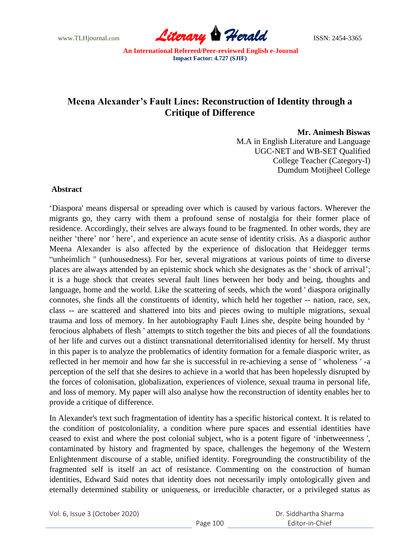www.TLHjournal.com **Literary Herald ISSN: 2454-3365** 

# **Meena Alexander's Fault Lines: Reconstruction of Identity through a Critique of Difference**

**Mr. Animesh Biswas** 

M.A in English Literature and Language UGC-NET and WB-SET Qualified College Teacher (Category-I) Dumdum Motijheel College

#### **Abstract**

"Diaspora' means dispersal or spreading over which is caused by various factors. Wherever the migrants go, they carry with them a profound sense of nostalgia for their former place of residence. Accordingly, their selves are always found to be fragmented. In other words, they are neither 'there' nor ' here', and experience an acute sense of identity crisis. As a diasporic author Meena Alexander is also affected by the experience of dislocation that Heidegger terms "unheimlich " (unhousedness). For her, several migrations at various points of time to diverse places are always attended by an epistemic shock which she designates as the ' shock of arrival"; it is a huge shock that creates several fault lines between her body and being, thoughts and language, home and the world. Like the scattering of seeds, which the word ' diaspora originally connotes, she finds all the constituents of identity, which held her together -- nation, race, sex, class -- are scattered and shattered into bits and pieces owing to multiple migrations, sexual trauma and loss of memory. In her autobiography Fault Lines she, despite being hounded by " ferocious alphabets of flesh ' attempts to stitch together the bits and pieces of all the foundations of her life and curves out a distinct transnational deterritorialised identity for herself. My thrust in this paper is to analyze the problematics of identity formation for a female diasporic writer, as reflected in her memoir and how far she is successful in re-achieving a sense of ' wholeness ' -a perception of the self that she desires to achieve in a world that has been hopelessly disrupted by the forces of colonisation, globalization, experiences of violence, sexual trauma in personal life, and loss of memory. My paper will also analyse how the reconstruction of identity enables her to provide a critique of difference.

In Alexander's text such fragmentation of identity has a specific historical context. It is related to the condition of postcoloniality, a condition where pure spaces and essential identities have ceased to exist and where the post colonial subject, who is a potent figure of "inbetweenness ', contaminated by history and fragmented by space, challenges the hegemony of the Western Enlightenment discourse of a stable, unified identity. Foregrounding the constructibility of the fragmented self is itself an act of resistance. Commenting on the construction of human identities, Edward Said notes that identity does not necessarily imply ontologically given and eternally determined stability or uniqueness, or irreducible character, or a privileged status as

|  | Vol. 6, Issue 3 (October 2020) |
|--|--------------------------------|
|--|--------------------------------|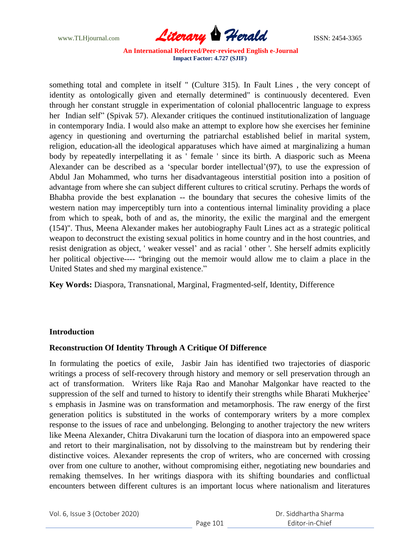

something total and complete in itself " (Culture 315). In Fault Lines , the very concept of identity as ontologically given and eternally determined" is continuously decentered. Even through her constant struggle in experimentation of colonial phallocentric language to express her Indian self" (Spivak 57). Alexander critiques the continued institutionalization of language in contemporary India. I would also make an attempt to explore how she exercises her feminine agency in questioning and overturning the patriarchal established belief in marital system, religion, education-all the ideological apparatuses which have aimed at marginalizing a human body by repeatedly interpellating it as ' female ' since its birth. A diasporic such as Meena Alexander can be described as a 'specular border intellectual'(97), to use the expression of Abdul Jan Mohammed, who turns her disadvantageous interstitial position into a position of advantage from where she can subject different cultures to critical scrutiny. Perhaps the words of Bhabha provide the best explanation -- the boundary that secures the cohesive limits of the western nation may imperceptibly turn into a contentious internal liminality providing a place from which to speak, both of and as, the minority, the exilic the marginal and the emergent (154)". Thus, Meena Alexander makes her autobiography Fault Lines act as a strategic political weapon to deconstruct the existing sexual politics in home country and in the host countries, and resist denigration as object, ' weaker vessel" and as racial ' other '. She herself admits explicitly her political objective---- "bringing out the memoir would allow me to claim a place in the United States and shed my marginal existence."

**Key Words:** Diaspora, Transnational, Marginal, Fragmented-self, Identity, Difference

#### **Introduction**

#### **Reconstruction Of Identity Through A Critique Of Difference**

In formulating the poetics of exile, Jasbir Jain has identified two trajectories of diasporic writings a process of self-recovery through history and memory or sell preservation through an act of transformation. Writers like Raja Rao and Manohar Malgonkar have reacted to the suppression of the self and turned to history to identify their strengths while Bharati Mukherjee' s emphasis in Jasmine was on transformation and metamorphosis. The raw energy of the first generation politics is substituted in the works of contemporary writers by a more complex response to the issues of race and unbelonging. Belonging to another trajectory the new writers like Meena Alexander, Chitra Divakaruni turn the location of diaspora into an empowered space and retort to their marginalisation, not by dissolving to the mainstream but by rendering their distinctive voices. Alexander represents the crop of writers, who are concerned with crossing over from one culture to another, without compromising either, negotiating new boundaries and remaking themselves. In her writings diaspora with its shifting boundaries and conflictual encounters between different cultures is an important locus where nationalism and literatures

Vol. 6, Issue 3 (October 2020)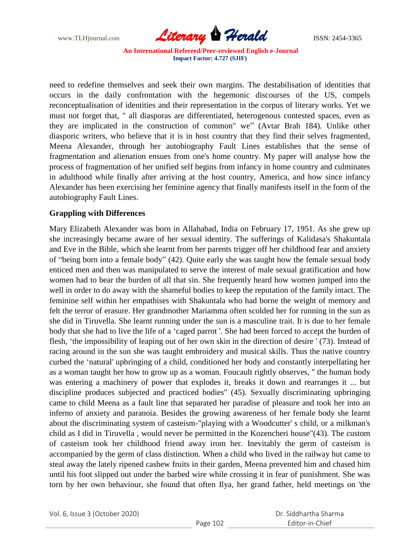

need to redefine themselves and seek their own margins. The destabilisation of identities that occurs in the daily confrontation with the hegemonic discourses of the US, compels reconceptualisation of identities and their representation in the corpus of literary works. Yet we must not forget that, " all diasporas are differentiated, heterogenous contested spaces, even as they are implicated in the construction of common" we" (Avtar Brah 184). Unlike other diasporic writers, who believe that it is in host country that they find their selves fragmented, Meena Alexander, through her autobiography Fault Lines establishes that the sense of fragmentation and alienation ensues from one's home country. My paper will analyse how the process of fragmentation of her unified self begins from infancy in home country and culminates in adulthood while finally after arriving at the host country, America, and how since infancy Alexander has been exercising her feminine agency that finally manifests itself in the form of the autobiography Fault Lines.

### **Grappling with Differences**

Mary Elizabeth Alexander was born in Allahabad, India on February 17, 1951. As she grew up she increasingly became aware of her sexual identity. The sufferings of Kalidasa's Shakuntala and Eve in the Bible, which she learnt from her parents trigger off her childhood fear and anxiety of "being born into a female body" (42). Quite early she was taught how the female sexual body enticed men and then was manipulated to serve the interest of male sexual gratification and how women had to bear the burden of all that sin. She frequently heard how women jumped into the well in order to do away with the shameful bodies to keep the reputation of the family intact. The feminine self within her empathises with Shakuntala who had borne the weight of memory and felt the terror of erasure. Her grandmother Mariamma often scolded her for running in the sun as she did in Tiruvella. She learnt running under the sun is a masculine trait. It is due to her female body that she had to live the life of a "caged parrot '. She had been forced to accept the burden of flesh, "the impossibility of leaping out of her own skin in the direction of desire ' (73). Instead of racing around in the sun she was taught embroidery and musical skills. Thus the native country curbed the "natural' upbringing of a child, conditioned her body and constantly interpellating her as a woman taught her how to grow up as a woman. Foucault rightly observes, " the human body was entering a machinery of power that explodes it, breaks it down and rearranges it ... but discipline produces subjected and practiced bodies" (45). Sexually discriminating upbringing came to child Meena as a fault line that separated her paradise of pleasure and took her into an inferno of anxiety and paranoia. Besides the growing awareness of her female body she learnt about the discriminating system of casteism-"playing with a Woodcutter' s child, or a milkman's child as I did in Tiruvella , would never be permitted in the Kozencheri house"(43). The custom of casteism took her childhood friend away irom her. Inevitably the germ of casteism is accompanied by the germ of class distinction. When a child who Iived in the railway hut came to steal away the lately ripened cashew fruits in their garden, Meena prevented him and chased him until his foot slipped out under the barbed wire while crossing it in fear of punishment. She was torn by her own behaviour, she found that often Ilya, her grand father, held meetings on 'the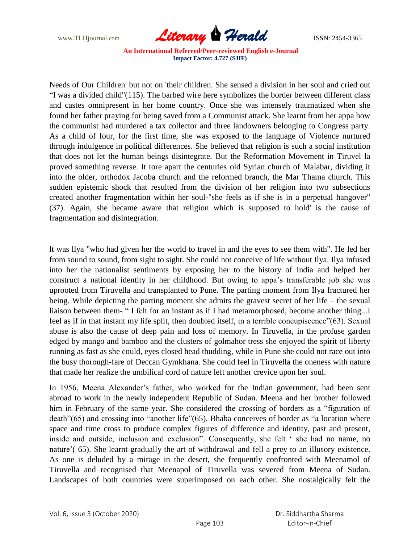

Needs of Our Children' but not on 'their children. She sensed a division in her soul and cried out "I was a divided child"(115). The barbed wire here symbolizes the border between different class and castes omnipresent in her home country. Once she was intensely traumatized when she found her father praying for being saved from a Communist attack. She learnt from her appa how the communist had murdered a tax collector and three landowners belonging to Congress party. As a child of four, for the first time, she was exposed to the language of Violence nurtured through indulgence in political differences. She believed that religion is such a social institution that does not let the human beings disintegrate. But the Reformation Movement in Tiruvel la proved something reverse. It tore apart the centuries old Syrian church of Malabar, dividing it into the older, orthodox Jacoba church and the reformed branch, the Mar Thama church. This sudden epistemic shock that resulted from the division of her religion into two subsections created another fragmentation within her soul-"she feels as if she is in a perpetual hangover" (37). Again, she became aware that religion which is supposed to hold' is the cause of fragmentation and disintegration.

lt was llya "who had given her the world to travel in and the eyes to see them with". He led her from sound to sound, from sight to sight. She could not conceive of life without Ilya. Ilya infused into her the nationalist sentiments by exposing her to the history of India and helped her construct a national identity in her childhood. But owing to appa"s transferable job she was uprooted from Tiruvella and transplanted to Pune. The parting moment from Ilya fractured her being. While depicting the parting moment she admits the gravest secret of her life – the sexual liaison between them- " I felt for an instant as if I had metamorphosed, become another thing...I feel as if in that instant my life split, then doubled itself, in a terrible concupiscence"(63). Sexual abuse is also the cause of deep pain and loss of memory. In Tiruvella, in the profuse garden edged by mango and bamboo and the clusters of golmahor tress she enjoyed the spirit of liberty running as fast as she could, eyes closed head thudding, while in Pune she could not race out into the busy thorough-fare of Deccan Gymkhana. She could feel in Tiruvella the oneness with nature that made her realize the umbilical cord of nature left another crevice upon her soul.

In 1956, Meena Alexander"s father, who worked for the Indian government, had been sent abroad to work in the newly independent Republic of Sudan. Meena and her brother followed him in February of the same year. She considered the crossing of borders as a "figuration of death"(65) and crossing into "another life"(65). Bhaba conceives of border as "a location where space and time cross to produce complex figures of difference and identity, past and present, inside and outside, inclusion and exclusion". Consequently, she felt " she had no name, no nature'(65). She learnt gradually the art of withdrawal and fell a prey to an illusory existence. As one is deluded by a mirage in the desert, she frequently confronted with Meenamol of Tiruvella and recognised that Meenapol of Tiruvella was severed from Meena of Sudan. Landscapes of both countries were superimposed on each other. She nostalgically felt the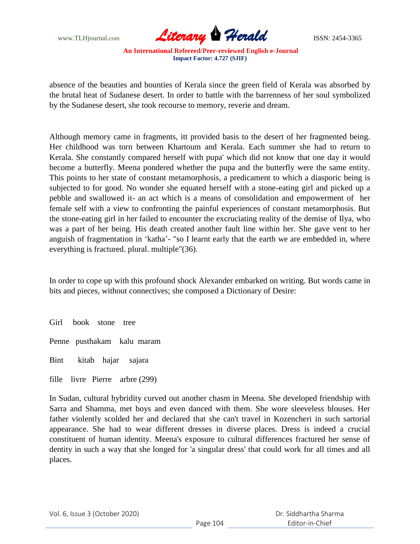

absence of the beauties and bounties of Kerala since the green field of Kerala was absorbed by the brutal heat of Sudanese desert. In order to battle with the barrenness of her soul symbolized by the Sudanese desert, she took recourse to memory, reverie and dream.

Although memory came in fragments, itt provided basis to the desert of her fragmented being. Her childhood was torn between Khartoum and Kerala. Each summer she had to return to Kerala. She constantly compared herself with pupa' which did not know that one day it would become a butterfly. Meena pondered whether the pupa and the butterfly were the same entity. This points to her state of constant metamorphosis, a predicament to which a diasporic being is subjected to for good. No wonder she equated herself with a stone-eating girl and picked up a pebble and swallowed it- an act which is a means of consolidation and empowerment of her female self with a view to confronting the painful experiences of constant metamorphosis. But the stone-eating girl in her failed to encounter the excruciating reality of the demise of Ilya, who was a part of her being. His death created another fault line within her. She gave vent to her anguish of fragmentation in "katha"- "so I learnt early that the earth we are embedded in, where everything is fractured. plural. multiple"(36).

In order to cope up with this profound shock Alexander embarked on writing. But words came in bits and pieces, without connectives; she composed a Dictionary of Desire:

Girl book stone tree

Penne pusthakam kalu maram

Bint kitab hajar sajara

fille livre Pierre arbre (299)

In Sudan, cultural hybridity curved out another chasm in Meena. She developed friendship with Sarra and Shamma, met boys and even danced with them. She wore sleeveless blouses. Her father violently scolded her and declared that she can't travel in Kozencheri in such sartorial appearance. She had to wear different dresses in diverse places. Dress is indeed a crucial constituent of human identity. Meena's exposure to cultural differences fractured her sense of dentity in such a way that she longed for 'a singular dress' that could work for all times and all places.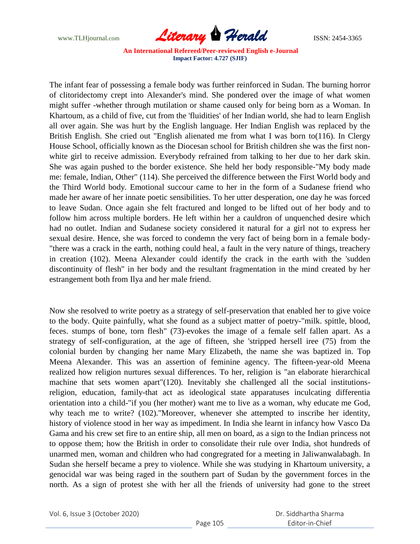

The infant fear of possessing a female body was further reinforced in Sudan. The burning horror of clitoridectomy crept into Alexander's mind. She pondered over the image of what women might suffer -whether through mutilation or shame caused only for being born as a Woman. In Khartoum, as a child of five, cut from the 'fluidities' of her Indian world, she had to learn English all over again. She was hurt by the English language. Her Indian English was replaced by the British English. She cried out "English alienated me from what I was born to(116). In Clergy House School, officially known as the Diocesan school for British children she was the first nonwhite girl to receive admission. Everybody refrained from talking to her due to her dark skin. She was again pushed to the border existence. She held her body responsible-"My body made me: female, Indian, Other" (114). She perceived the difference between the First World body and the Third World body. Emotional succour came to her in the form of a Sudanese friend who made her aware of her innate poetic sensibilities. To her utter desperation, one day he was forced to leave Sudan. Once again she felt fractured and longed to be lifted out of her body and to follow him across multiple borders. He left within her a cauldron of unquenched desire which had no outlet. Indian and Sudanese society considered it natural for a girl not to express her sexual desire. Hence, she was forced to condemn the very fact of being born in a female body- "there was a crack in the earth, nothing could heal, a fault in the very nature of things, treachery in creation (102). Meena Alexander could identify the crack in the earth with the 'sudden discontinuity of flesh" in her body and the resultant fragmentation in the mind created by her estrangement both from Ilya and her male friend.

Now she resolved to write poetry as a strategy of self-preservation that enabled her to give voice to the body. Quite painfully, what she found as a subject matter of poetry-"milk. spittle, blood, feces. stumps of bone, torn flesh" (73)-evokes the image of a female self fallen apart. As a strategy of self-configuration, at the age of fifteen, she 'stripped hersell iree (75) from the colonial burden by changing her name Mary Elizabeth, the name she was baptized in. Top Meena Alexander. This was an assertion of feminine agency. The fifteen-year-old Meena realized how religion nurtures sexual differences. To her, religion is "an elaborate hierarchical machine that sets women apart"(120). Inevitably she challenged all the social institutionsreligion, education, family-that act as ideological state apparatuses inculcating differentia orientation into a child-"if you (her mother) want me to live as a woman, why educate me God, why teach me to write? (102)."Moreover, whenever she attempted to inscribe her identity, history of violence stood in her way as impediment. In India she learnt in infancy how Vasco Da Gama and his crew set fire to an entire ship, all men on board, as a sign to the Indian princess not to oppose them; how the British in order to consolidate their rule over India, shot hundreds of unarmed men, woman and children who had congregrated for a meeting in Jaliwanwalabagh. In Sudan she herself became a prey to violence. While she was studying in Khartoum university, a genocidal war was being raged in the southern part of Sudan by the government forces in the north. As a sign of protest she with her all the friends of university had gone to the street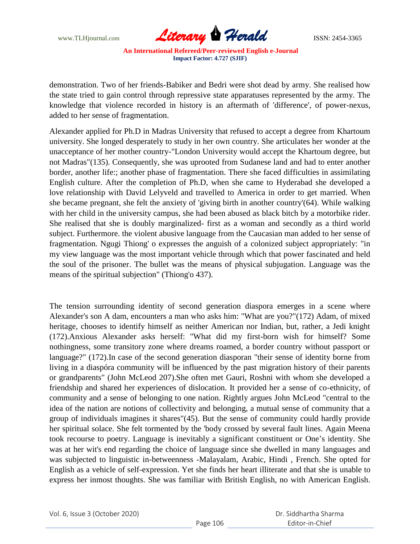

demonstration. Two of her friends-Babiker and Bedri were shot dead by army. She realised how the state tried to gain control through repressive state apparatuses represented by the army. The knowledge that violence recorded in history is an aftermath of 'difference', of power-nexus, added to her sense of fragmentation.

Alexander applied for Ph.D in Madras University that refused to accept a degree from Khartoum university. She longed desperately to study in her own country. She articulates her wonder at the unacceptance of her mother country-"London University would accept the Khartoum degree, but not Madras"(135). Consequently, she was uprooted from Sudanese land and had to enter another border, another life:; another phase of fragmentation. There she faced difficulties in assimilating English culture. After the completion of Ph.D, when she came to Hyderabad she developed a love relationship with David Lelyveld and travelled to America in order to get married. When she became pregnant, she felt the anxiety of 'giving birth in another country'(64). While walking with her child in the university campus, she had been abused as black bitch by a motorbike rider. She realised that she is doubly marginalized- first as a woman and secondly as a third world subject. Furthermore. the violent abusive language from the Caucasian man added to her sense of fragmentation. Ngugi Thiong' o expresses the anguish of a colonized subject appropriately: "in my view language was the most important vehicle through which that power fascinated and held the soul of the prisoner. The bullet was the means of physical subjugation. Language was the means of the spiritual subjection" (Thiong'o 437).

The tension surrounding identity of second generation diaspora emerges in a scene where Alexander's son A dam, encounters a man who asks him: "What are you?"(172) Adam, of mixed heritage, chooses to identify himself as neither American nor Indian, but, rather, a Jedi knight (172).Anxious Alexander asks herself: "What did my first-born wish for himself? Some nothingness, some transitory zone where dreams roamed, a border country without passport or language?" (172).In case of the second generation diasporan "their sense of identity borne from living in a diaspóra community will be influenced by the past migration history of their parents or grandparents" (John McLeod 207).She often met Gauri, Roshni with whom she developed a friendship and shared her experiences of dislocation. It provided her a sense of co-ethnicity, of community and a sense of belonging to one nation. Rightly argues John McLeod "central to the idea of the nation are notions of collectivity and belonging, a mutual sense of community that a group of individuals imagines it shares"(45). But the sense of community could hardly provide her spiritual solace. She felt tormented by the 'body crossed by several fault lines. Again Meena took recourse to poetry. Language is inevitably a significant constituent or One"s identity. She was at her wit's end regarding the choice of language since she dwelled in many languages and was subjected to linguistic in-betweenness -Malayalam, Arabic, Hindi , French. She opted for English as a vehicle of self-expression. Yet she finds her heart illiterate and that she is unable to express her inmost thoughts. She was familiar with British English, no with American English.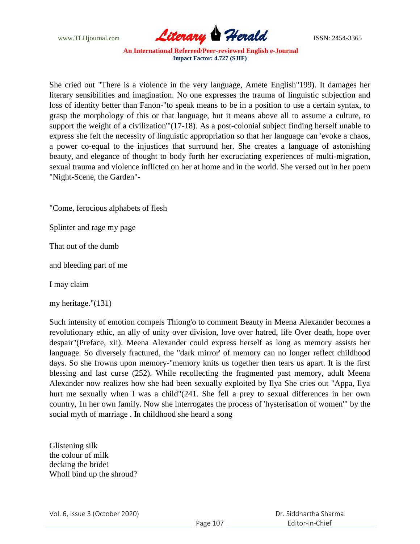

She cried out "There is a violence in the very language, Amete English"199). It damages her literary sensibilities and imagination. No one expresses the trauma of linguistic subjection and loss of identity better than Fanon-"to speak means to be in a position to use a certain syntax, to grasp the morphology of this or that language, but it means above all to assume a culture, to support the weight of a civilization'"(17-18). As a post-colonial subject finding herself unable to express she felt the necessity of linguistic appropriation so that her language can 'evoke a chaos, a power co-equal to the injustices that surround her. She creates a language of astonishing beauty, and elegance of thought to body forth her excruciating experiences of multi-migration, sexual trauma and violence inflicted on her at home and in the world. She versed out in her poem "Night-Scene, the Garden"-

"Come, ferocious alphabets of flesh

Splinter and rage my page

That out of the dumb

and bleeding part of me

I may claim

my heritage."(131)

Such intensity of emotion compels Thiong'o to comment Beauty in Meena Alexander becomes a revolutionary ethic, an ally of unity over division, love over hatred, life Over death, hope over despair"(Preface, xii). Meena Alexander could express herself as long as memory assists her language. So diversely fractured, the "dark mirror' of memory can no longer reflect childhood days. So she frowns upon memory-"memory knits us together then tears us apart. It is the first blessing and last curse (252). While recollecting the fragmented past memory, adult Meena Alexander now realizes how she had been sexually exploited by Ilya She cries out "Appa, Ilya hurt me sexually when I was a child"(241. She fell a prey to sexual differences in her own country, 1n her own family. Now she interrogates the process of 'hysterisation of women'" by the social myth of marriage . In childhood she heard a song

Glistening silk the colour of milk decking the bride! Wholl bind up the shroud?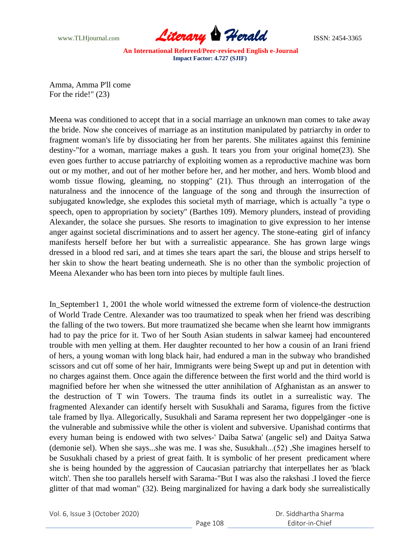

Amma, Amma P'll come For the ride!" (23)

Meena was conditioned to accept that in a social marriage an unknown man comes to take away the bride. Now she conceives of marriage as an institution manipulated by patriarchy in order to fragment woman's life by dissociating her from her parents. She militates against this feminine destiny-"for a woman, marriage makes a gush. It tears you from your original home(23). She even goes further to accuse patriarchy of exploiting women as a reproductive machine was born out or my mother, and out of her mother before her, and her mother, and hers. Womb blood and womb tissue flowing, gleaming, no stopping" (21). Thus through an interrogation of the naturalness and the innocence of the language of the song and through the insurrection of subjugated knowledge, she explodes this societal myth of marriage, which is actually "a type o speech, open to appropriation by society" (Barthes 109). Memory plunders, instead of providing Alexander, the solace she pursues. She resorts to imagination to give expression to her intense anger against societal discriminations and to assert her agency. The stone-eating girl of infancy manifests herself before her but with a surrealistic appearance. She has grown large wings dressed in a blood red sari, and at times she tears apart the sari, the blouse and strips herself to her skin to show the heart beating underneath. She is no other than the symbolic projection of Meena Alexander who has been torn into pieces by multiple fault lines.

In\_September1 1, 2001 the whole world witnessed the extreme form of violence-the destruction of World Trade Centre. Alexander was too traumatized to speak when her friend was describing the falling of the two towers. But more traumatized she became when she learnt how immigrants had to pay the price for it. Two of her South Asian students in salwar kameej had encountered trouble with men yelling at them. Her daughter recounted to her how a cousin of an Irani friend of hers, a young woman with long black hair, had endured a man in the subway who brandished scissors and cut off some of her hair, Immigrants were being Swept up and put in detention with no charges against them. Once again the difference between the first world and the third world is magnified before her when she witnessed the utter annihilation of Afghanistan as an answer to the destruction of T win Towers. The trauma finds its outlet in a surrealistic way. The fragmented Alexander can identify herselt with Susukhali and Sarama, figures from the fictive tale framed by llya. Allegorically, Susukhali and Sarama represent her two doppelgänger -one is the vulnerable and submissive while the other is violent and subversive. Upanishad contirms that every human being is endowed with two selves-' Daiba Satwa' (angelic sel) and Daitya Satwa (demonie sel). When she says...she was me. I was she, Susukhalı...(52) ,She imagines herself to be Susukhali chased by a priest of great faith. It is symbolic of her present predicament where she is being hounded by the aggression of Caucasian patriarchy that interpellates her as 'black witch'. Then she too parallels herself with Sarama-"But I was also the rakshasi .I loved the fierce glitter of that mad woman" (32). Being marginalized for having a dark body she surrealistically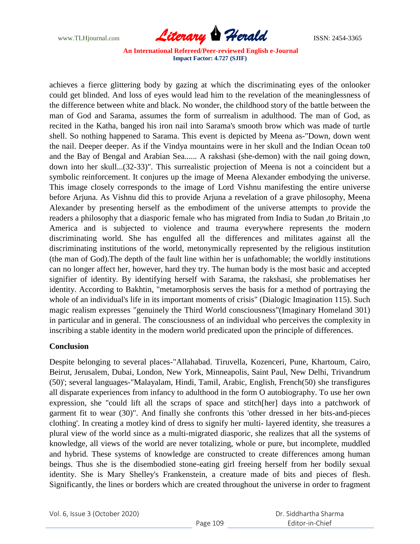

achieves a fierce glittering body by gazing at which the discriminating eyes of the onlooker could get blinded. And loss of eyes would lead him to the revelation of the meaninglessness of the difference between white and black. No wonder, the childhood story of the battle between the man of God and Sarama, assumes the form of surrealism in adulthood. The man of God, as recited in the Katha, banged his iron nail into Sarama's smooth brow which was made of turtle shell. So nothing happened to Sarama. This event is depicted by Meena as-"Down, down went the nail. Deeper deeper. As if the Vindya mountains were in her skull and the Indian Ocean to0 and the Bay of Bengal and Arabian Sea...... A rakshasi (she-demon) with the nail going down, down into her skull...(32-33)". This surrealistic projection of Meena is not a coincident but a symbolic reinforcement. It conjures up the image of Meena Alexander embodying the universe. This image closely corresponds to the image of Lord Vishnu manifesting the entire universe before Arjuna. As Vishnu did this to provide Arjuna a revelation of a grave philosophy, Meena Alexander by presenting herself as the embodiment of the universe attempts to provide the readers a philosophy that a diasporic female who has migrated from India to Sudan ,to Britain ,to America and is subjected to violence and trauma everywhere represents the modern discriminating world. She has engulfed all the differences and militates against all the discriminating institutions of the world, metonymically represented by the religious institution (the man of God).The depth of the fault line within her is unfathomable; the worldly institutions can no longer affect her, however, hard they try. The human body is the most basic and accepted signifier of identity. By identifying herself with Sarama, the rakshasi, she problematises her identity. According to Bakhtin, "metamorphosis serves the basis for a method of portraying the whole of an individual's life in its important moments of crisis" (Dialogic Imagination 115). Such magic realism expresses "genuinely the Third World consciousness"(Imaginary Homeland 301) in particular and in general. The consciousness of an individual who perceives the complexity in inscribing a stable identity in the modern world predicated upon the principle of differences.

# **Conclusion**

Despite belonging to several places-"Allahabad. Tiruvella, Kozenceri, Pune, Khartoum, Cairo, Beirut, Jerusalem, Dubai, London, New York, Minneapolis, Saint Paul, New Delhi, Trivandrum (50)'; several languages-"Malayalam, Hindi, Tamil, Arabic, English, French(50) she transfigures all disparate experiences from infancy to adulthood in the form O autobiography. To use her own expression, she "could lift all the scraps of space and stitch[her] days into a patchwork of garment fit to wear (30)". And finally she confronts this 'other dressed in her bits-and-pieces clothing'. In creating a motley kind of dress to signify her multi- layered identity, she treasures a plural view of the world since as a multi-migrated diasporic, she realizes that all the systems of knowledge, all views of the world are never totalizing, whole or pure, but incomplete, muddled and hybrid. These systems of knowledge are constructed to create differences among human beings. Thus she is the disembodied stone-eating girl freeing herself from her bodily sexual identity. She is Mary Shelley's Frankenstein, a creature made of bits and pieces of flesh. Significantly, the lines or borders which are created throughout the universe in order to fragment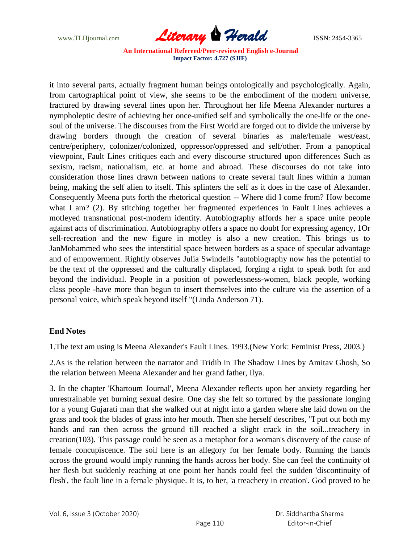

it into several parts, actually fragment human beings ontologically and psychologically. Again, from cartographical point of view, she seems to be the embodiment of the modern universe, fractured by drawing several lines upon her. Throughout her life Meena Alexander nurtures a nympholeptic desire of achieving her once-unified self and symbolically the one-life or the onesoul of the universe. The discourses from the First World are forged out to divide the universe by drawing borders through the creation of several binaries as male/female west/east, centre/periphery, colonizer/colonized, oppressor/oppressed and self/other. From a panoptical viewpoint, Fault Lines critiques each and every discourse structured upon differences Such as sexism, racism, nationalism, etc. at home and abroad. These discourses do not take into consideration those lines drawn between nations to create several fault lines within a human being, making the self alien to itself. This splinters the self as it does in the case of Alexander. Consequently Meena puts forth the rhetorical question -- Where did I come from? How become what I am? (2). By stitching together her fragmented experiences in Fault Lines achieves a motleyed transnational post-modern identity. Autobiography affords her a space unite people against acts of discrimination. Autobiography offers a space no doubt for expressing agency, 1Or sell-recreation and the new figure in motley is also a new creation. This brings us to JanMohammed who sees the interstitial space between borders as a space of specular advantage and of empowerment. Rightly observes Julia Swindells "autobiography now has the potential to be the text of the oppressed and the culturally displaced, forging a right to speak both for and beyond the individual. People in a position of powerlessness-women, black people, working class people -have more than begun to insert themselves into the culture via the assertion of a personal voice, which speak beyond itself "(Linda Anderson 71).

# **End Notes**

1.The text am using is Meena Alexander's Fault Lines. 1993.(New York: Feminist Press, 2003.)

2.As is the relation between the narrator and Tridib in The Shadow Lines by Amitav Ghosh, So the relation between Meena Alexander and her grand father, Ilya.

3. In the chapter 'Khartoum Journal', Meena Alexander reflects upon her anxiety regarding her unrestrainable yet burning sexual desire. One day she felt so tortured by the passionate longing for a young Gujarati man that she walked out at night into a garden where she laid down on the grass and took the blades of grass into her mouth. Then she herself describes, "I put out both my hands and ran then across the ground till reached a slight crack in the soil...treachery in creation(103). This passage could be seen as a metaphor for a woman's discovery of the cause of female concupiscence. The soil here is an allegory for her female body. Running the hands across the ground would imply running the hands across her body. She can feel the continuity of her flesh but suddenly reaching at one point her hands could feel the sudden 'discontinuity of flesh', the fault line in a female physique. It is, to her, 'a treachery in creation'. God proved to be

|  | Vol. 6, Issue 3 (October 2020) |
|--|--------------------------------|
|--|--------------------------------|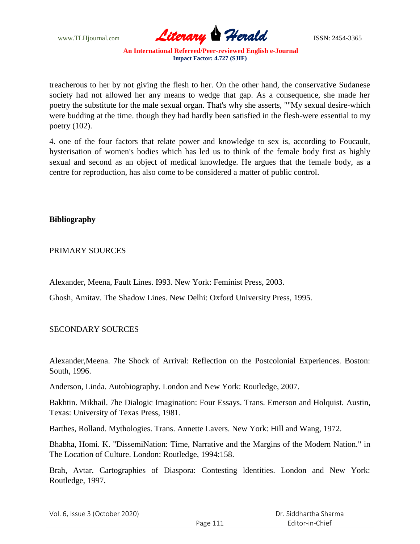

treacherous to her by not giving the flesh to her. On the other hand, the conservative Sudanese society had not allowed her any means to wedge that gap. As a consequence, she made her poetry the substitute for the male sexual organ. That's why she asserts, ""My sexual desire-which were budding at the time. though they had hardly been satisfied in the flesh-were essential to my poetry (102).

4. one of the four factors that relate power and knowledge to sex is, according to Foucault, hysterisation of women's bodies which has led us to think of the female body first as highly sexual and second as an object of medical knowledge. He argues that the female body, as a centre for reproduction, has also come to be considered a matter of public control.

# **Bibliography**

### PRIMARY SOURCES

Alexander, Meena, Fault Lines. I993. New York: Feminist Press, 2003.

Ghosh, Amitav. The Shadow Lines. New Delhi: Oxford University Press, 1995.

# SECONDARY SOURCES

Alexander,Meena. 7he Shock of Arrival: Reflection on the Postcolonial Experiences. Boston: South, 1996.

Anderson, Linda. Autobiography. London and New York: Routledge, 2007.

Bakhtin. Mikhail. 7he Dialogic Imagination: Four Essays. Trans. Emerson and Holquist. Austin, Texas: University of Texas Press, 1981.

Barthes, Rolland. Mythologies. Trans. Annette Lavers. New York: Hill and Wang, 1972.

Bhabha, Homi. K. "DissemiNation: Time, Narrative and the Margins of the Modern Nation." in The Location of Culture. London: Routledge, 1994:158.

Brah, Avtar. Cartographies of Diaspora: Contesting ldentities. London and New York: Routledge, 1997.

| Vol. 6, Issue 3 (October 2020) |          | Dr. Siddhartha Sharma |
|--------------------------------|----------|-----------------------|
|                                | Page 111 | Editor-in-Chief       |